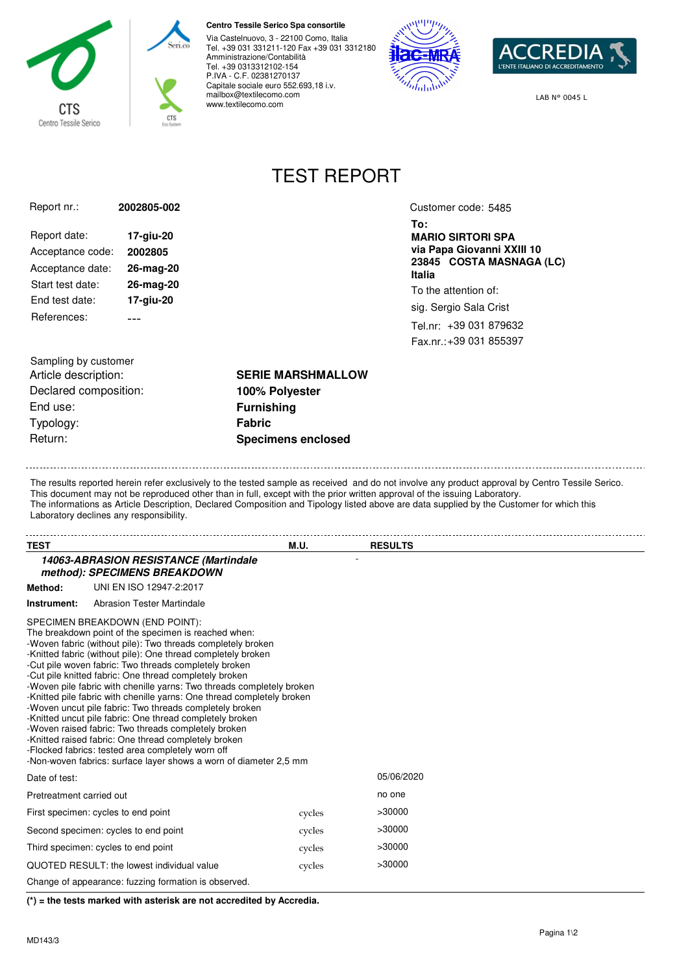

## **Centro Tessile Serico Spa consortile**

Via Castelnuovo, 3 - 22100 Como, Italia Tel. +39 031 331211-120 Fax +39 031 3312180 Amministrazione/Contabilità Tel. +39 0313312102-154 P.IVA - C.F. 02381270137 Capitale sociale euro 552.693,18 i.v. mailbox@textilecomo.com www.textilecomo.com



**To:**

**Italia**

**MARIO SIRTORI SPA via Papa Giovanni XXIII 10 23845 COSTA MASNAGA (LC)**

To the attention of: sig. Sergio Sala Crist Tel.nr: +39 031 879632 Fax.nr.: +39 031 855397

Customer code: 5485



LAB N° 0045 L

## TEST REPORT

| Report nr.:      | 2002805-002 |
|------------------|-------------|
| Report date:     | 17-giu-20   |
| Acceptance code: | 2002805     |
| Acceptance date: | 26-mag-20   |
| Start test date: | 26-mag-20   |
| End test date:   | 17-giu-20   |
| References:      |             |

Sampling by customer Article description: **SERIE MARSHMALLOW** Declared composition: **100% Polyester** End use: **Furnishing** Typology: **Fabric** Return: **Specimens enclosed**

The results reported herein refer exclusively to the tested sample as received and do not involve any product approval by Centro Tessile Serico.

This document may not be reproduced other than in full, except with the prior written approval of the issuing Laboratory. The informations as Article Description, Declared Composition and Tipology listed above are data supplied by the Customer for which this Laboratory declines any responsibility.

| <b>TEST</b>              |                                                                                                                                                                                                                                                                                                                                                                                                                                                                                                                                                                                                                                                                                                                                                                                                                                                              | M.U.   | <b>RESULTS</b> |
|--------------------------|--------------------------------------------------------------------------------------------------------------------------------------------------------------------------------------------------------------------------------------------------------------------------------------------------------------------------------------------------------------------------------------------------------------------------------------------------------------------------------------------------------------------------------------------------------------------------------------------------------------------------------------------------------------------------------------------------------------------------------------------------------------------------------------------------------------------------------------------------------------|--------|----------------|
|                          | 14063-ABRASION RESISTANCE (Martindale<br>method): SPECIMENS BREAKDOWN                                                                                                                                                                                                                                                                                                                                                                                                                                                                                                                                                                                                                                                                                                                                                                                        |        |                |
| Method:                  | UNI EN ISO 12947-2:2017                                                                                                                                                                                                                                                                                                                                                                                                                                                                                                                                                                                                                                                                                                                                                                                                                                      |        |                |
| Instrument:              | Abrasion Tester Martindale                                                                                                                                                                                                                                                                                                                                                                                                                                                                                                                                                                                                                                                                                                                                                                                                                                   |        |                |
|                          | SPECIMEN BREAKDOWN (END POINT):<br>The breakdown point of the specimen is reached when:<br>-Woven fabric (without pile): Two threads completely broken<br>-Knitted fabric (without pile): One thread completely broken<br>-Cut pile woven fabric: Two threads completely broken<br>-Cut pile knitted fabric: One thread completely broken<br>-Woven pile fabric with chenille yarns: Two threads completely broken<br>-Knitted pile fabric with chenille yarns: One thread completely broken<br>-Woven uncut pile fabric: Two threads completely broken<br>-Knitted uncut pile fabric: One thread completely broken<br>-Woven raised fabric: Two threads completely broken<br>-Knitted raised fabric: One thread completely broken<br>-Flocked fabrics: tested area completely worn off<br>-Non-woven fabrics: surface layer shows a worn of diameter 2.5 mm |        |                |
| Date of test:            |                                                                                                                                                                                                                                                                                                                                                                                                                                                                                                                                                                                                                                                                                                                                                                                                                                                              |        | 05/06/2020     |
| Pretreatment carried out |                                                                                                                                                                                                                                                                                                                                                                                                                                                                                                                                                                                                                                                                                                                                                                                                                                                              |        | no one         |
|                          | First specimen: cycles to end point                                                                                                                                                                                                                                                                                                                                                                                                                                                                                                                                                                                                                                                                                                                                                                                                                          | cycles | >30000         |
|                          | Second specimen: cycles to end point                                                                                                                                                                                                                                                                                                                                                                                                                                                                                                                                                                                                                                                                                                                                                                                                                         | cycles | >30000         |
|                          | Third specimen: cycles to end point                                                                                                                                                                                                                                                                                                                                                                                                                                                                                                                                                                                                                                                                                                                                                                                                                          | cycles | >30000         |
|                          | QUOTED RESULT: the lowest individual value                                                                                                                                                                                                                                                                                                                                                                                                                                                                                                                                                                                                                                                                                                                                                                                                                   | cycles | >30000         |
|                          | Change of appearance: fuzzing formation is observed.                                                                                                                                                                                                                                                                                                                                                                                                                                                                                                                                                                                                                                                                                                                                                                                                         |        |                |

**(\*) = the tests marked with asterisk are not accredited by Accredia.**